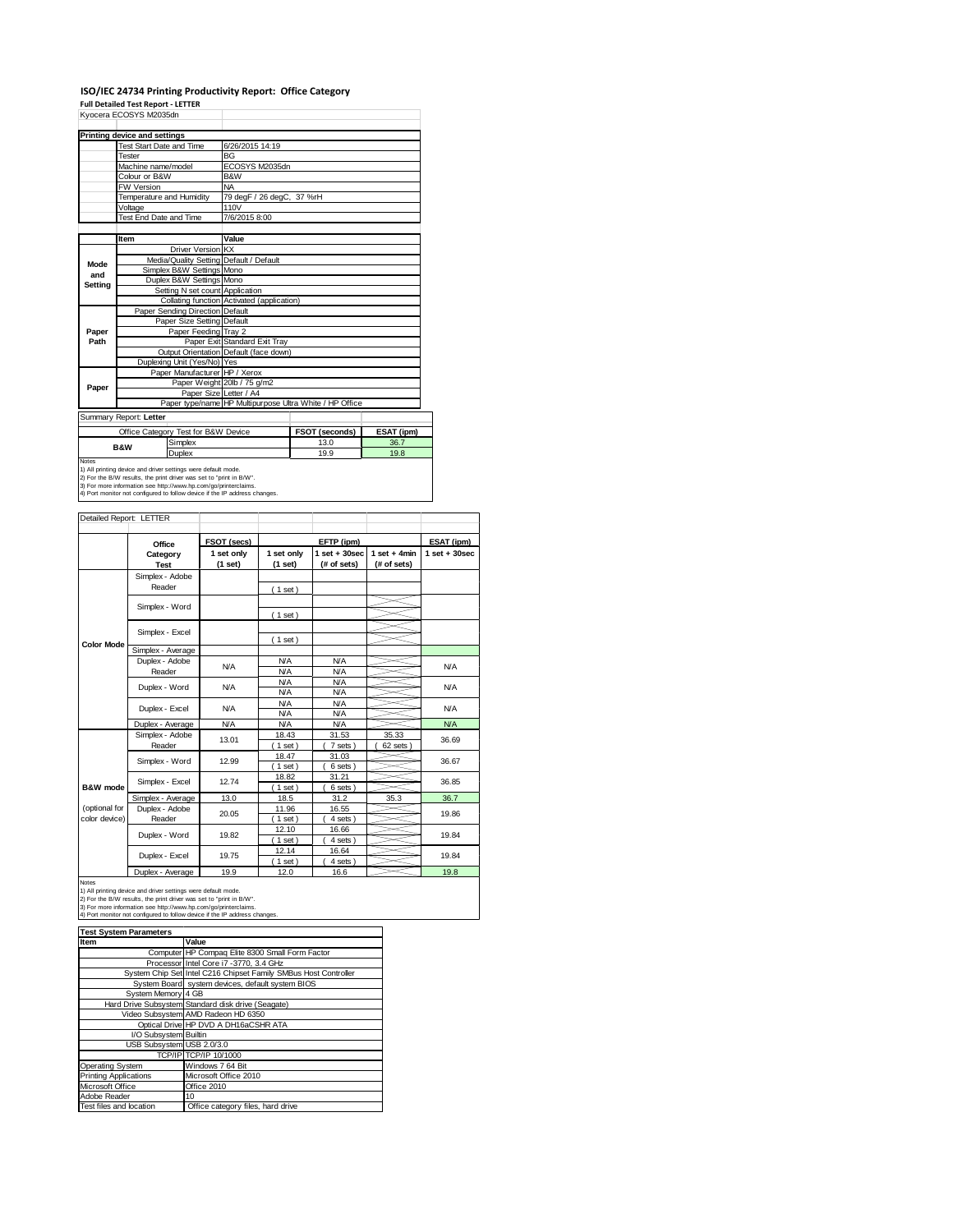### **ISO/IEC 24734 Printing Productivity Report: Office Category**

**Full Detailed Test Report ‐ LETTER**

|              | Kvocera ECOSYS M2035dn                                                                                                                                                                                  |                                            |                                                         |            |  |  |  |
|--------------|---------------------------------------------------------------------------------------------------------------------------------------------------------------------------------------------------------|--------------------------------------------|---------------------------------------------------------|------------|--|--|--|
|              | Printing device and settings                                                                                                                                                                            |                                            |                                                         |            |  |  |  |
|              | <b>Test Start Date and Time</b>                                                                                                                                                                         | 6/26/2015 14:19                            |                                                         |            |  |  |  |
|              | Tester                                                                                                                                                                                                  | <b>BG</b>                                  |                                                         |            |  |  |  |
|              | Machine name/model                                                                                                                                                                                      | ECOSYS M2035dn                             |                                                         |            |  |  |  |
|              | Colour or B&W                                                                                                                                                                                           | B&W                                        |                                                         |            |  |  |  |
|              | <b>FW Version</b>                                                                                                                                                                                       | <b>NA</b>                                  |                                                         |            |  |  |  |
|              | Temperature and Humidity                                                                                                                                                                                | 79 degF / 26 degC, 37 %rH                  |                                                         |            |  |  |  |
|              | Voltage                                                                                                                                                                                                 | 110V                                       |                                                         |            |  |  |  |
|              | Test End Date and Time                                                                                                                                                                                  | 7/6/2015 8:00                              |                                                         |            |  |  |  |
|              |                                                                                                                                                                                                         |                                            |                                                         |            |  |  |  |
|              | Item                                                                                                                                                                                                    | Value                                      |                                                         |            |  |  |  |
|              | Driver Version KX                                                                                                                                                                                       |                                            |                                                         |            |  |  |  |
| Mode         | Media/Quality Setting Default / Default                                                                                                                                                                 |                                            |                                                         |            |  |  |  |
| and          | Simplex B&W Settings Mono                                                                                                                                                                               |                                            |                                                         |            |  |  |  |
| Setting      | Duplex B&W Settings Mono                                                                                                                                                                                |                                            |                                                         |            |  |  |  |
|              | Setting N set count Application                                                                                                                                                                         |                                            |                                                         |            |  |  |  |
|              |                                                                                                                                                                                                         | Collating function Activated (application) |                                                         |            |  |  |  |
|              | Paper Sending Direction Default                                                                                                                                                                         |                                            |                                                         |            |  |  |  |
|              | Paper Size Setting Default                                                                                                                                                                              |                                            |                                                         |            |  |  |  |
| Paper        | Paper Feeding Tray 2                                                                                                                                                                                    |                                            |                                                         |            |  |  |  |
| Path         |                                                                                                                                                                                                         | Paper Exit Standard Exit Tray              |                                                         |            |  |  |  |
|              |                                                                                                                                                                                                         | Output Orientation Default (face down)     |                                                         |            |  |  |  |
|              | Duplexing Unit (Yes/No) Yes                                                                                                                                                                             |                                            |                                                         |            |  |  |  |
|              | Paper Manufacturer HP / Xerox                                                                                                                                                                           |                                            |                                                         |            |  |  |  |
| Paper        |                                                                                                                                                                                                         | Paper Weight 20lb / 75 g/m2                |                                                         |            |  |  |  |
|              |                                                                                                                                                                                                         | Paper Size Letter / A4                     |                                                         |            |  |  |  |
|              |                                                                                                                                                                                                         |                                            | Paper type/name HP Multipurpose Ultra White / HP Office |            |  |  |  |
|              | Summary Report: Letter                                                                                                                                                                                  |                                            |                                                         |            |  |  |  |
|              | Office Category Test for B&W Device                                                                                                                                                                     |                                            | FSOT (seconds)                                          | ESAT (ipm) |  |  |  |
|              | Simplex<br><b>B&amp;W</b>                                                                                                                                                                               |                                            | 13.0                                                    | 36.7       |  |  |  |
|              | Duplex                                                                                                                                                                                                  |                                            | 19.9                                                    | 19.8       |  |  |  |
| <b>Notes</b> | 1) All printing device and driver settings were default mode.<br>2) For the B/W results, the print driver was set to "print in B/W".<br>3) For more information see http://www.hp.com/go/printerclaims. |                                            |                                                         |            |  |  |  |
|              | 4) Port monitor not configured to follow device if the IP address changes.                                                                                                                              |                                            |                                                         |            |  |  |  |

| Detailed Report: LETTER        |                           |                       |                          |                                  |                               |                   |
|--------------------------------|---------------------------|-----------------------|--------------------------|----------------------------------|-------------------------------|-------------------|
|                                | Office                    | FSOT (secs)           |                          | ESAT (ipm)                       |                               |                   |
|                                | Category<br><b>Test</b>   | 1 set only<br>(1 set) | 1 set only<br>(1 set)    | $1$ set $+30$ sec<br>(# of sets) | $1$ set + 4min<br>(# of sets) | $1$ set $+30$ sec |
|                                | Simplex - Adobe<br>Reader |                       | (1 set)                  |                                  |                               |                   |
|                                | Simplex - Word            |                       | (1 set)                  |                                  |                               |                   |
|                                | Simplex - Excel           |                       | (1 set)                  |                                  |                               |                   |
| <b>Color Mode</b>              | Simplex - Average         |                       |                          |                                  |                               |                   |
|                                | Duplex - Adobe<br>Reader  | N/A                   | <b>N/A</b><br><b>N/A</b> | <b>N/A</b><br><b>N/A</b>         |                               | <b>N/A</b>        |
|                                | Duplex - Word             | <b>N/A</b>            | <b>N/A</b><br><b>N/A</b> | <b>N/A</b><br><b>N/A</b>         |                               | <b>N/A</b>        |
|                                | Duplex - Excel            | N/A                   | <b>N/A</b><br><b>N/A</b> | <b>N/A</b><br><b>N/A</b>         |                               | <b>N/A</b>        |
|                                | Duplex - Average          | <b>N/A</b>            | <b>N/A</b>               | <b>N/A</b>                       |                               | NA                |
|                                | Simplex - Adobe<br>Reader | 13.01                 | 18.43<br>$1$ set)        | 31.53<br>7 sets)                 | 35.33<br>62 sets              | 36.69             |
|                                | Simplex - Word            | 12.99                 | 18.47<br>$1$ set)        | 31.03<br>6 sets)                 |                               | 36.67             |
| B&W mode                       | Simplex - Excel           | 12.74                 | 18.82<br>$1$ set)        | 31.21<br>6 sets)                 |                               | 36.85             |
|                                | Simplex - Average         | 13.0                  | 18.5                     | 31.2                             | 35.3                          | 36.7              |
| (optional for<br>color device) | Duplex - Adobe<br>Reader  | 20.05                 | 11.96<br>$1$ set)        | 16.55<br>4 sets)                 |                               | 19.86             |
|                                | Duplex - Word             | 19.82                 | 12.10<br>$1$ set)        | 16.66<br>4 sets)                 |                               | 19.84             |
|                                | Duplex - Excel            | 19.75                 | 12.14<br>$1$ set)        | 16.64<br>4 sets)                 |                               | 19.84             |
|                                | Dowled Accessor           | 400                   | 400                      | 10 <sub>0</sub>                  |                               | 400               |

Duplex - Average 19.9 12.0 16.6 19.8 Notes 1) All printing device and driver settings were default mode. 2) For the B/W results, the print driver was set to "print in B/W". 3) For more information see http://www.hp.com/go/printerclaims. 4) Port monitor not configured to follow device if the IP address changes.

| <b>Test System Parameters</b> |                                                                 |
|-------------------------------|-----------------------------------------------------------------|
| Item                          | Value                                                           |
|                               | Computer HP Compaq Elite 8300 Small Form Factor                 |
|                               | Processor Intel Core i7 -3770, 3.4 GHz                          |
|                               | System Chip Set Intel C216 Chipset Family SMBus Host Controller |
|                               | System Board system devices, default system BIOS                |
| System Memory 4 GB            |                                                                 |
|                               | Hard Drive Subsystem Standard disk drive (Seagate)              |
|                               | Video Subsystem AMD Radeon HD 6350                              |
|                               | Optical Drive HP DVD A DH16aCSHR ATA                            |
| I/O Subsystem Builtin         |                                                                 |
| USB Subsystem USB 2.0/3.0     |                                                                 |
|                               | TCP/IP TCP/IP 10/1000                                           |
| Operating System              | Windows 7 64 Bit                                                |
| <b>Printing Applications</b>  | Microsoft Office 2010                                           |
| Microsoft Office              | Office 2010                                                     |
| Adobe Reader                  | 10                                                              |
| Test files and location       | Office category files, hard drive                               |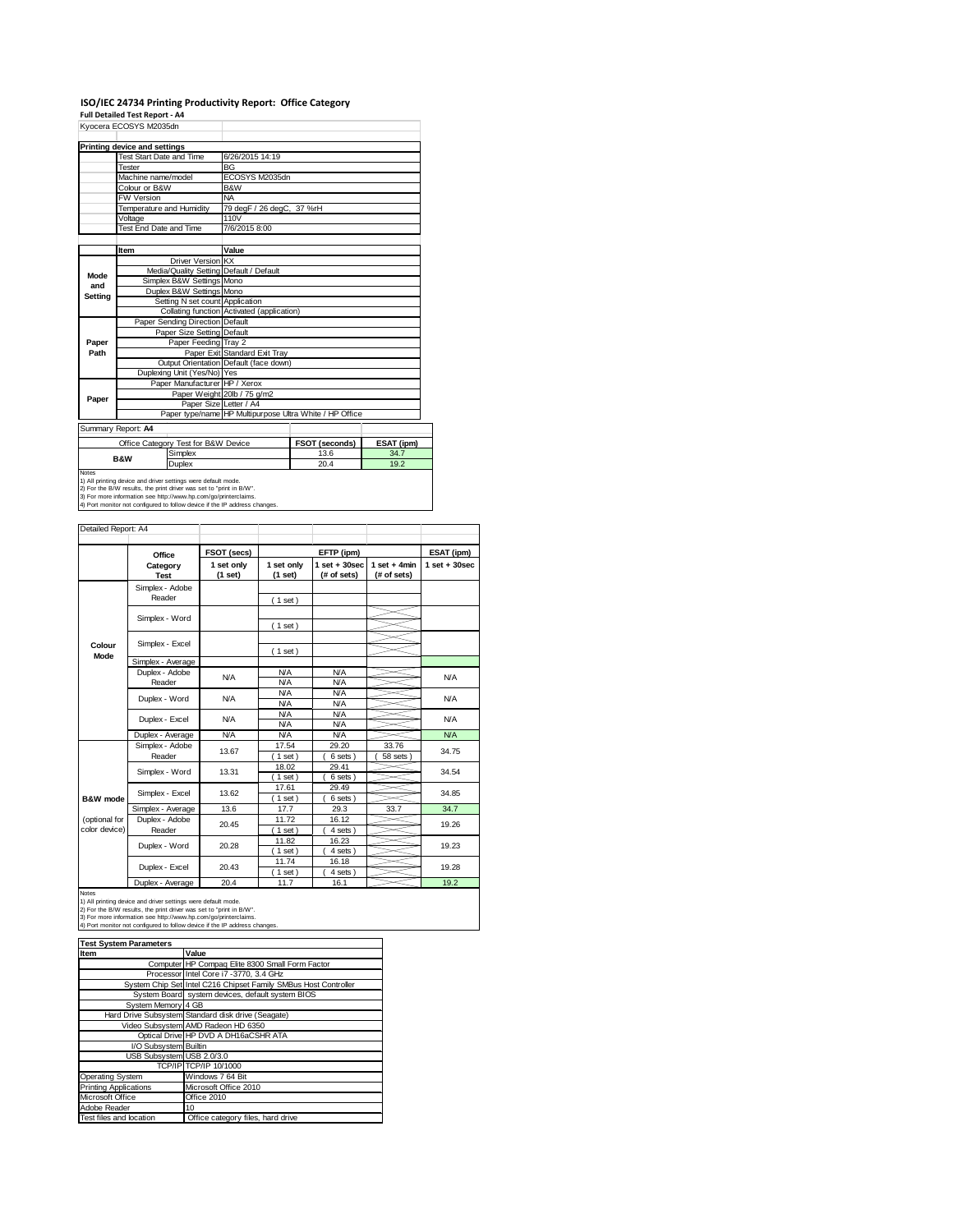# **ISO/IEC 24734 Printing Productivity Report: Office Category Full Detailed Test Report ‐ A4** Kyocera ECOSYS M2035dn

|         | וועטטעונע בטטט ויש וועטטעוו     |                                                               |                                                         |                |            |  |  |
|---------|---------------------------------|---------------------------------------------------------------|---------------------------------------------------------|----------------|------------|--|--|
|         | Printing device and settings    |                                                               |                                                         |                |            |  |  |
|         | <b>Test Start Date and Time</b> |                                                               | 6/26/2015 14:19                                         |                |            |  |  |
|         | Tester                          |                                                               | <b>BG</b>                                               |                |            |  |  |
|         | Machine name/model              |                                                               | ECOSYS M2035dn                                          |                |            |  |  |
|         | Colour or B&W                   |                                                               | B&W                                                     |                |            |  |  |
|         | <b>FW Version</b>               |                                                               | <b>NA</b>                                               |                |            |  |  |
|         |                                 | Temperature and Humidity                                      | 79 degF / 26 degC, 37 %rH                               |                |            |  |  |
|         | Voltage                         |                                                               | 110V                                                    |                |            |  |  |
|         | Test End Date and Time          |                                                               | 7/6/2015 8:00                                           |                |            |  |  |
|         |                                 |                                                               |                                                         |                |            |  |  |
|         | Item                            |                                                               | Value                                                   |                |            |  |  |
|         |                                 | Driver Version KX                                             |                                                         |                |            |  |  |
| Mode    |                                 | Media/Quality Setting Default / Default                       |                                                         |                |            |  |  |
| and     |                                 | Simplex B&W Settings Mono                                     |                                                         |                |            |  |  |
| Setting |                                 | Duplex B&W Settings Mono                                      |                                                         |                |            |  |  |
|         |                                 | Setting N set count Application                               |                                                         |                |            |  |  |
|         |                                 |                                                               | Collating function Activated (application)              |                |            |  |  |
|         |                                 | Paper Sending Direction Default                               |                                                         |                |            |  |  |
|         |                                 | Paper Size Setting Default                                    |                                                         |                |            |  |  |
| Paper   |                                 | Paper Feeding Tray 2                                          |                                                         |                |            |  |  |
| Path    |                                 |                                                               | Paper Exit Standard Exit Tray                           |                |            |  |  |
|         |                                 | Duplexing Unit (Yes/No) Yes                                   | Output Orientation Default (face down)                  |                |            |  |  |
|         |                                 |                                                               |                                                         |                |            |  |  |
|         |                                 | Paper Manufacturer HP / Xerox                                 | Paper Weight 20lb / 75 g/m2                             |                |            |  |  |
| Paper   |                                 | Paper Size Letter / A4                                        |                                                         |                |            |  |  |
|         |                                 |                                                               | Paper type/name HP Multipurpose Ultra White / HP Office |                |            |  |  |
|         |                                 |                                                               |                                                         |                |            |  |  |
|         | Summary Report: A4              |                                                               |                                                         |                |            |  |  |
|         |                                 | Office Category Test for B&W Device                           |                                                         | FSOT (seconds) | ESAT (ipm) |  |  |
|         | <b>B&amp;W</b>                  | Simplex                                                       |                                                         | 13.6           | 34.7       |  |  |
|         |                                 | Duplex                                                        |                                                         | 20.4           | 19.2       |  |  |
| Notes   |                                 | 1) All printing device and driver settings were default mode. |                                                         |                |            |  |  |

1) All printing device and driver settings were default mode.<br>2) For the B/W results, the print driver was set to "print in B/W".<br>3) For more information see http://www.hp.com/go/printerclaims.<br>4) Port monitor not configur

Detailed Report: A4

|                | Office                    | FSOT (secs)           |                          | EFTP (ipm)                       |                               | ESAT (ipm)        |
|----------------|---------------------------|-----------------------|--------------------------|----------------------------------|-------------------------------|-------------------|
|                | Category<br><b>Test</b>   | 1 set only<br>(1 set) | 1 set only<br>(1 set)    | $1$ set $+30$ sec<br>(# of sets) | $1$ set + 4min<br>(# of sets) | $1$ set $+30$ sec |
|                | Simplex - Adobe<br>Reader |                       |                          |                                  |                               |                   |
|                |                           |                       | (1 set)                  |                                  |                               |                   |
|                | Simplex - Word            |                       | (1 set)                  |                                  |                               |                   |
|                |                           |                       |                          |                                  |                               |                   |
| Colour<br>Mode | Simplex - Excel           |                       | (1 set)                  |                                  |                               |                   |
|                | Simplex - Average         |                       |                          |                                  |                               |                   |
|                | Duplex - Adobe<br>Reader  | N/A                   | <b>N/A</b><br><b>N/A</b> | <b>N/A</b><br><b>N/A</b>         |                               | <b>N/A</b>        |
|                | Duplex - Word             | N/A                   | <b>N/A</b><br><b>N/A</b> | <b>N/A</b><br><b>N/A</b>         |                               | <b>N/A</b>        |
|                | Duplex - Excel            | N/A                   | <b>N/A</b><br><b>N/A</b> | <b>N/A</b><br><b>N/A</b>         |                               | <b>N/A</b>        |
|                | Duplex - Average          | <b>N/A</b>            | <b>N/A</b>               | <b>N/A</b>                       |                               | <b>N/A</b>        |
|                | Simplex - Adobe           |                       | 17.54                    | 29.20                            | 33.76                         |                   |
|                | Reader                    | 13.67                 | $1$ set)                 | 6 sets)                          | 58 sets                       | 34.75             |
|                | Simplex - Word            | 13.31                 | 18.02<br>$1$ set)        | 29.41<br>6 sets)                 |                               | 34.54             |
| B&W mode       | Simplex - Excel           | 13.62                 | 17.61<br>$1$ set)        | 29.49<br>6 sets)                 |                               | 34.85             |
|                | Simplex - Average         | 13.6                  | 17.7                     | 29.3                             | 33.7                          | 34.7              |
| (optional for  | Duplex - Adobe            | 20.45                 | 11.72                    | 16.12                            |                               | 19.26             |
| color device)  | Reader                    |                       | $1$ set)<br>11.82        | 4 sets)<br>16.23                 |                               |                   |
|                | Duplex - Word             | 20.28                 | $1$ set)                 | 4 sets)                          |                               | 19.23             |
|                | Duplex - Excel            | 20.43                 | 11.74                    | 16.18                            |                               | 19.28             |
|                | Duplex - Average          | 20.4                  | $1$ set)<br>11.7         | 4 sets)<br>16.1                  |                               | 19.2              |
|                |                           |                       |                          |                                  |                               |                   |

٦

Notes<br>1) All printing device and driver settings were default mode.<br>2) For the B/W results, the print driver was set to "print in B/W".<br>3) For more information see http://www.hp.com/go/printerclaims.<br>4) Port monitor not co

| <b>Test System Parameters</b> |                                                                 |  |  |  |  |
|-------------------------------|-----------------------------------------------------------------|--|--|--|--|
| Item                          | Value                                                           |  |  |  |  |
|                               | Computer HP Compaq Elite 8300 Small Form Factor                 |  |  |  |  |
|                               | Processor Intel Core i7 -3770, 3.4 GHz                          |  |  |  |  |
|                               | System Chip Set Intel C216 Chipset Family SMBus Host Controller |  |  |  |  |
|                               | System Board system devices, default system BIOS                |  |  |  |  |
| System Memory 4 GB            |                                                                 |  |  |  |  |
|                               | Hard Drive Subsystem Standard disk drive (Seagate)              |  |  |  |  |
|                               | Video Subsystem AMD Radeon HD 6350                              |  |  |  |  |
|                               | Optical Drive HP DVD A DH16aCSHR ATA                            |  |  |  |  |
| I/O Subsystem Builtin         |                                                                 |  |  |  |  |
| USB Subsystem USB 2.0/3.0     |                                                                 |  |  |  |  |
|                               | TCP/IP TCP/IP 10/1000                                           |  |  |  |  |
| <b>Operating System</b>       | Windows 7 64 Bit                                                |  |  |  |  |
| <b>Printing Applications</b>  | Microsoft Office 2010                                           |  |  |  |  |
| Microsoft Office              | Office 2010                                                     |  |  |  |  |
| Adobe Reader                  | 10                                                              |  |  |  |  |
| Test files and location       | Office category files, hard drive                               |  |  |  |  |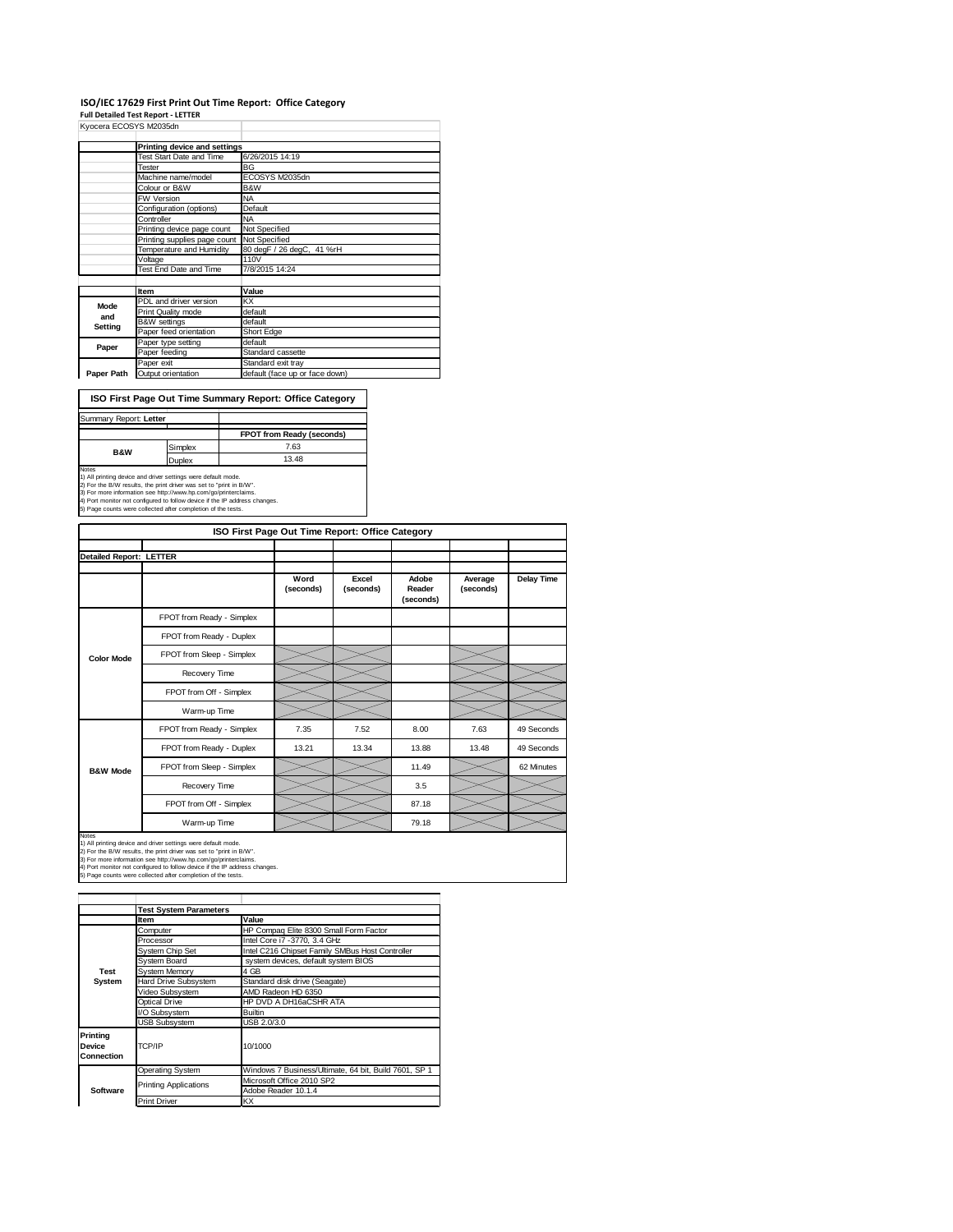#### **ISO/IEC 17629 First Print Out Time Report: Office Category**

**Full Detailed Test Report ‐ LETTER**

| Kyocera ECOSYS M2035dn |                              |                                |  |  |  |
|------------------------|------------------------------|--------------------------------|--|--|--|
|                        | Printing device and settings |                                |  |  |  |
|                        | Test Start Date and Time     | 6/26/2015 14:19                |  |  |  |
|                        | Tester                       | BG                             |  |  |  |
|                        | Machine name/model           | ECOSYS M2035dn                 |  |  |  |
|                        | Colour or B&W                | B&W                            |  |  |  |
|                        | <b>FW Version</b>            | <b>NA</b>                      |  |  |  |
|                        | Configuration (options)      | Default                        |  |  |  |
|                        | Controller                   | <b>NA</b>                      |  |  |  |
|                        | Printing device page count   | Not Specified                  |  |  |  |
|                        | Printing supplies page count | Not Specified                  |  |  |  |
|                        | Temperature and Humidity     | 80 degF / 26 degC, 41 %rH      |  |  |  |
|                        | Voltage                      | 110V                           |  |  |  |
|                        | Test End Date and Time       | 7/8/2015 14:24                 |  |  |  |
|                        |                              |                                |  |  |  |
|                        | Item                         | Value                          |  |  |  |
| Mode                   | PDL and driver version       | КX                             |  |  |  |
| and                    | Print Quality mode           | default                        |  |  |  |
| Setting                | <b>B&amp;W</b> settings      | default                        |  |  |  |
|                        | Paper feed orientation       | Short Edge                     |  |  |  |
| Paper                  | Paper type setting           | default                        |  |  |  |
|                        | Paper feeding                | Standard cassette              |  |  |  |
|                        | Paper exit                   | Standard exit tray             |  |  |  |
| Paper Path             | Output orientation           | default (face up or face down) |  |  |  |

**ISO First Page Out Time Summary Report: Office Category**

| Summary Report: Letter |         |                                  |
|------------------------|---------|----------------------------------|
|                        |         | <b>FPOT from Ready (seconds)</b> |
| <b>B&amp;W</b>         | Simplex | 7.63                             |
|                        | Duplex  | 13.48                            |
| Notes                  |         |                                  |

Notes<br>1) All printing device and driver settings were default mode.<br>2) For the B/W results, the print driver was set to "print in B/W".<br>3) For more information see http://www.hp.com/go/printerclaims.<br>4) Port monitor not co

|                                |                           | ISO First Page Out Time Report: Office Category |                    |                              |                      |                   |
|--------------------------------|---------------------------|-------------------------------------------------|--------------------|------------------------------|----------------------|-------------------|
| <b>Detailed Report: LETTER</b> |                           |                                                 |                    |                              |                      |                   |
|                                |                           | Word<br>(seconds)                               | Excel<br>(seconds) | Adobe<br>Reader<br>(seconds) | Average<br>(seconds) | <b>Delay Time</b> |
|                                | FPOT from Ready - Simplex |                                                 |                    |                              |                      |                   |
|                                | FPOT from Ready - Duplex  |                                                 |                    |                              |                      |                   |
| <b>Color Mode</b>              | FPOT from Sleep - Simplex |                                                 |                    |                              |                      |                   |
|                                | Recovery Time             |                                                 |                    |                              |                      |                   |
|                                | FPOT from Off - Simplex   |                                                 |                    |                              |                      |                   |
|                                | Warm-up Time              |                                                 |                    |                              |                      |                   |
|                                | FPOT from Ready - Simplex | 7.35                                            | 7.52               | 8.00                         | 7.63                 | 49 Seconds        |
|                                | FPOT from Ready - Duplex  | 13.21                                           | 13.34              | 13.88                        | 13.48                | 49 Seconds        |
| <b>B&amp;W Mode</b>            | FPOT from Sleep - Simplex |                                                 |                    | 11.49                        |                      | 62 Minutes        |
|                                | Recovery Time             |                                                 |                    | 3.5                          |                      |                   |
|                                | FPOT from Off - Simplex   |                                                 |                    | 87.18                        |                      |                   |
|                                | Warm-up Time              |                                                 |                    | 79.18                        |                      |                   |

Notes<br>1) All printing device and driver settings were default mode.<br>2) For the B/W results, the print driver was set to "print in B/W".<br>3) For more information see http://www.hp.com/go/printerclaims.<br>4) Port monitor not co

**Item Value**<br> **Computer HP Computer** Computer **HP Compaq Elite 8300 Small Form Factor**<br>
Processor **Intel Core i7 -3770, 3.4 GHz** System Chip Set Intel C216 Chipset Family SMBus Host Controller<br>System Board system devices, default system BIOS System Memory<br>Hard Drive Subsystem Stand Hard Drive Subsystem Standard disk drive (Seagate)<br>Video Subsystem AMD Radeon HD 6350 Video Subsystem AMD Radeon HD 6350 Optical Drive HP DVD A DH16aCSHR ATA I/O Subsystem B Subsystem USB 2.0/3.0 Operating System Windows 7 Business/Ultimate, 64 bit, Build 7601, SP 1 Microsoft Office 2010 SP2 Adobe Reader 10.1.4 Print Driver **KX Test System Software Test System Parameters Printing Device Connection** TCP/IP 10/1000 Printing Applications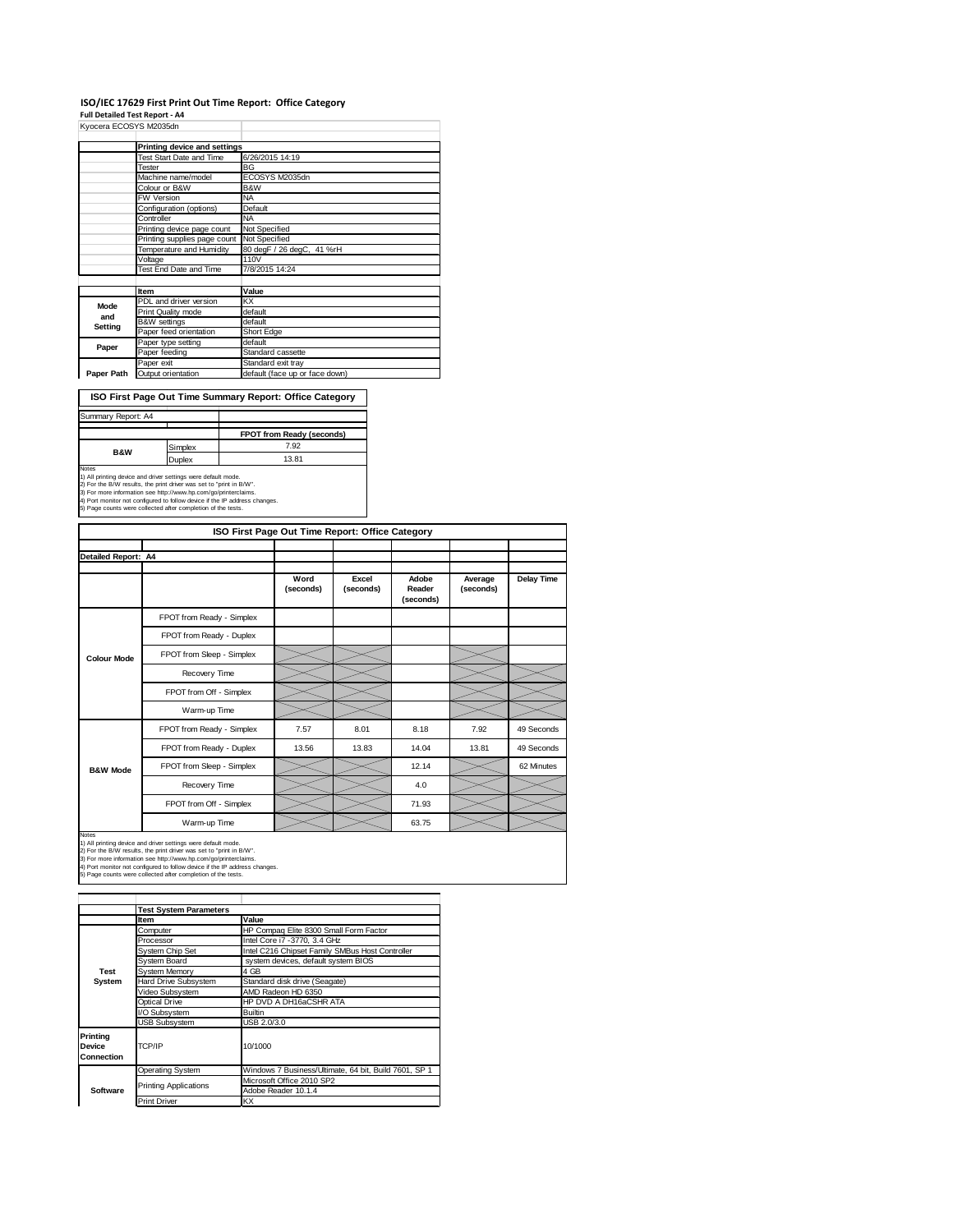### **ISO/IEC 17629 First Print Out Time Report: Office Category**

**Full Detailed Test Report ‐ A4**

| Kyocera ECOSYS M2035dn |                              |                                |
|------------------------|------------------------------|--------------------------------|
|                        | Printing device and settings |                                |
|                        | Test Start Date and Time     | 6/26/2015 14:19                |
|                        | Tester                       | BG                             |
|                        | Machine name/model           | ECOSYS M2035dn                 |
|                        | Colour or B&W                | B&W                            |
|                        | FW Version                   | NA                             |
|                        | Configuration (options)      | Default                        |
|                        | Controller                   | <b>NA</b>                      |
|                        | Printing device page count   | Not Specified                  |
|                        | Printing supplies page count | Not Specified                  |
|                        | Temperature and Humidity     | 80 degF / 26 degC, 41 %rH      |
|                        | Voltage                      | 110V                           |
|                        | Test End Date and Time       | 7/8/2015 14:24                 |
|                        |                              |                                |
|                        | Item                         | Value                          |
| Mode                   | PDL and driver version       | KΧ                             |
| and                    | Print Quality mode           | default                        |
| Setting                | <b>B&amp;W</b> settings      | default                        |
|                        | Paper feed orientation       | Short Edge                     |
| Paper                  | Paper type setting           | default                        |
|                        | Paper feeding                | Standard cassette              |
|                        | Paper exit                   | Standard exit tray             |
| Paper Path             | Output orientation           | default (face up or face down) |

**ISO First Page Out Time Summary Report: Office Category**

| Summary Report: A4 |               |                           |  |  |
|--------------------|---------------|---------------------------|--|--|
|                    |               |                           |  |  |
|                    |               | FPOT from Ready (seconds) |  |  |
| <b>B&amp;W</b>     | Simplex       | 7.92                      |  |  |
|                    | <b>Duplex</b> | 13.81                     |  |  |
| Notes              |               |                           |  |  |

Notes<br>1) All printing device and driver settings were default mode.<br>2) For the B/W results, the print driver was set to "print in B/W".<br>3) For more information see http://www.hp.com/go/printerclaims.<br>4) Port monitor not co

| ISO First Page Out Time Report: Office Category |                           |                   |                    |                              |                      |                   |  |  |
|-------------------------------------------------|---------------------------|-------------------|--------------------|------------------------------|----------------------|-------------------|--|--|
|                                                 |                           |                   |                    |                              |                      |                   |  |  |
| Detailed Report: A4                             |                           |                   |                    |                              |                      |                   |  |  |
|                                                 |                           | Word<br>(seconds) | Excel<br>(seconds) | Adobe<br>Reader<br>(seconds) | Average<br>(seconds) | <b>Delay Time</b> |  |  |
|                                                 | FPOT from Ready - Simplex |                   |                    |                              |                      |                   |  |  |
| <b>Colour Mode</b>                              | FPOT from Ready - Duplex  |                   |                    |                              |                      |                   |  |  |
|                                                 | FPOT from Sleep - Simplex |                   |                    |                              |                      |                   |  |  |
|                                                 | Recovery Time             |                   |                    |                              |                      |                   |  |  |
|                                                 | FPOT from Off - Simplex   |                   |                    |                              |                      |                   |  |  |
|                                                 | Warm-up Time              |                   |                    |                              |                      |                   |  |  |
|                                                 | FPOT from Ready - Simplex | 7.57              | 8.01               | 8.18                         | 7.92                 | 49 Seconds        |  |  |
|                                                 | FPOT from Ready - Duplex  | 13.56             | 13.83              | 14.04                        | 13.81                | 49 Seconds        |  |  |
| <b>B&amp;W Mode</b>                             | FPOT from Sleep - Simplex |                   |                    | 12.14                        |                      | 62 Minutes        |  |  |
|                                                 | Recovery Time             |                   |                    | 4.0                          |                      |                   |  |  |
|                                                 | FPOT from Off - Simplex   |                   |                    | 71.93                        |                      |                   |  |  |
|                                                 | Warm-up Time              |                   |                    | 63.75                        |                      |                   |  |  |

Notes<br>1) All printing device and driver settings were default mode.<br>2) For the B/W results, the print driver was set to "print in B/W".<br>3) For more information see http://www.hp.com/go/printerclaims.<br>4) Port monitor not co

|                                                | <b>Test System Parameters</b> |                                                       |  |  |
|------------------------------------------------|-------------------------------|-------------------------------------------------------|--|--|
|                                                | Item                          | Value                                                 |  |  |
|                                                | Computer                      | HP Compaq Elite 8300 Small Form Factor                |  |  |
|                                                | Processor                     | Intel Core i7 -3770, 3.4 GHz                          |  |  |
|                                                | System Chip Set               | Intel C216 Chipset Family SMBus Host Controller       |  |  |
|                                                | System Board                  | system devices, default system BIOS                   |  |  |
| <b>Test</b>                                    | <b>System Memory</b>          | 4 GB                                                  |  |  |
| System                                         | Hard Drive Subsystem          | Standard disk drive (Seagate)                         |  |  |
|                                                | Video Subsystem               | AMD Radeon HD 6350                                    |  |  |
|                                                | <b>Optical Drive</b>          | HP DVD A DH16aCSHR ATA                                |  |  |
|                                                | I/O Subsystem                 | <b>Builtin</b>                                        |  |  |
|                                                | <b>USB Subsystem</b>          | USB 2.0/3.0                                           |  |  |
| <b>Printing</b><br><b>Device</b><br>Connection | TCP/IP                        | 10/1000                                               |  |  |
|                                                | <b>Operating System</b>       | Windows 7 Business/Ultimate, 64 bit, Build 7601, SP 1 |  |  |
|                                                |                               | Microsoft Office 2010 SP2                             |  |  |
| Software                                       | <b>Printing Applications</b>  | Adobe Reader 10.1.4                                   |  |  |
|                                                | <b>Print Driver</b>           | KX                                                    |  |  |
|                                                |                               |                                                       |  |  |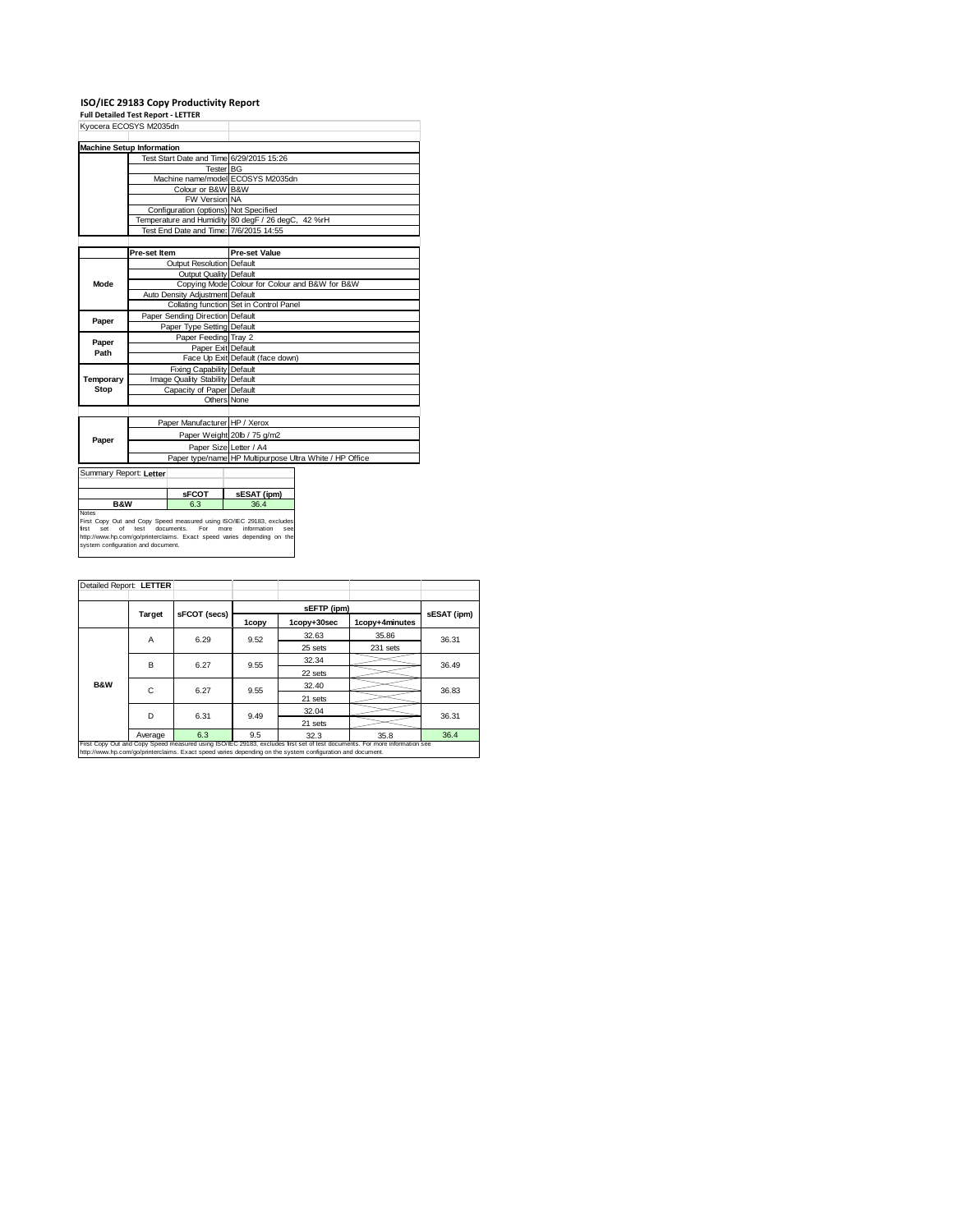# **ISO/IEC 29183 Copy Productivity Report Full Detailed Test Report ‐ LETTER**

| Kyocera ECOSYS M2035dn                                                  |              |                                       |                                                                                                                                                                               |                                                         |  |
|-------------------------------------------------------------------------|--------------|---------------------------------------|-------------------------------------------------------------------------------------------------------------------------------------------------------------------------------|---------------------------------------------------------|--|
| <b>Machine Setup Information</b>                                        |              |                                       |                                                                                                                                                                               |                                                         |  |
|                                                                         |              |                                       | Test Start Date and Time 6/29/2015 15:26                                                                                                                                      |                                                         |  |
|                                                                         |              |                                       | <b>Tester BG</b>                                                                                                                                                              |                                                         |  |
|                                                                         |              |                                       | Machine name/model ECOSYS M2035dn                                                                                                                                             |                                                         |  |
|                                                                         |              | Colour or B&W B&W                     |                                                                                                                                                                               |                                                         |  |
|                                                                         |              | FW Version NA                         |                                                                                                                                                                               |                                                         |  |
|                                                                         |              | Configuration (options) Not Specified |                                                                                                                                                                               |                                                         |  |
|                                                                         |              |                                       | Temperature and Humidity 80 degF / 26 degC, 42 %rH                                                                                                                            |                                                         |  |
|                                                                         |              |                                       | Test End Date and Time: 7/6/2015 14:55                                                                                                                                        |                                                         |  |
|                                                                         |              |                                       |                                                                                                                                                                               |                                                         |  |
|                                                                         | Pre-set Item |                                       | <b>Pre-set Value</b>                                                                                                                                                          |                                                         |  |
|                                                                         |              | Output Resolution Default             |                                                                                                                                                                               |                                                         |  |
|                                                                         |              | Output Quality Default                |                                                                                                                                                                               |                                                         |  |
| Mode                                                                    |              |                                       | Copying Mode Colour for Colour and B&W for B&W                                                                                                                                |                                                         |  |
|                                                                         |              | Auto Density Adjustment Default       |                                                                                                                                                                               |                                                         |  |
|                                                                         |              |                                       | Collating function Set in Control Panel                                                                                                                                       |                                                         |  |
| Paper                                                                   |              | Paper Sending Direction Default       |                                                                                                                                                                               |                                                         |  |
|                                                                         |              | Paper Type Setting Default            |                                                                                                                                                                               |                                                         |  |
| Paper                                                                   |              | Paper Feeding Tray 2                  |                                                                                                                                                                               |                                                         |  |
| Path                                                                    |              | Paper Exit Default                    |                                                                                                                                                                               |                                                         |  |
|                                                                         |              |                                       | Face Up Exit Default (face down)                                                                                                                                              |                                                         |  |
|                                                                         |              | Fixing Capability Default             |                                                                                                                                                                               |                                                         |  |
| Temporary                                                               |              | Image Quality Stability Default       |                                                                                                                                                                               |                                                         |  |
| Stop                                                                    |              | Capacity of Paper Default             |                                                                                                                                                                               |                                                         |  |
|                                                                         |              |                                       | Others None                                                                                                                                                                   |                                                         |  |
|                                                                         |              |                                       |                                                                                                                                                                               |                                                         |  |
|                                                                         |              | Paper Manufacturer HP / Xerox         |                                                                                                                                                                               |                                                         |  |
| Paper                                                                   |              |                                       | Paper Weight 20lb / 75 g/m2                                                                                                                                                   |                                                         |  |
|                                                                         |              |                                       | Paper Size Letter / A4                                                                                                                                                        |                                                         |  |
|                                                                         |              |                                       |                                                                                                                                                                               | Paper type/name HP Multipurpose Ultra White / HP Office |  |
| Summary Report: Letter                                                  |              |                                       |                                                                                                                                                                               |                                                         |  |
|                                                                         |              |                                       |                                                                                                                                                                               |                                                         |  |
|                                                                         |              | <b>sFCOT</b>                          | sESAT (ipm)                                                                                                                                                                   |                                                         |  |
| <b>B&amp;W</b>                                                          |              | 6.3                                   | 36.4                                                                                                                                                                          |                                                         |  |
| <b>Notes</b><br>Set<br>first<br>οf<br>evetam configuration and document | test         | documents.<br>For                     | First Copy Out and Copy Speed measured using ISO/IEC 29183, excludes<br>more<br>information<br>see<br>http://www.hp.com/go/printerclaims. Exact speed varies depending on the |                                                         |  |

| Detailed Report: LETTER                                                                                                                                                                                                                  |         |              |       |             |                |             |  |  |
|------------------------------------------------------------------------------------------------------------------------------------------------------------------------------------------------------------------------------------------|---------|--------------|-------|-------------|----------------|-------------|--|--|
|                                                                                                                                                                                                                                          |         |              |       | sEFTP (ipm) |                |             |  |  |
|                                                                                                                                                                                                                                          | Target  | sFCOT (secs) | 1copy | 1copy+30sec | 1copy+4minutes | sESAT (ipm) |  |  |
|                                                                                                                                                                                                                                          | A       | 6.29         | 9.52  | 32.63       | 35.86          | 36.31       |  |  |
|                                                                                                                                                                                                                                          |         |              |       | 25 sets     | 231 sets       |             |  |  |
|                                                                                                                                                                                                                                          | в       | 6.27         | 9.55  | 32.34       |                | 36.49       |  |  |
|                                                                                                                                                                                                                                          |         |              |       | 22 sets     |                |             |  |  |
| <b>B&amp;W</b>                                                                                                                                                                                                                           | C       | 6.27         | 9.55  | 32.40       |                | 36.83       |  |  |
|                                                                                                                                                                                                                                          |         |              |       | 21 sets     |                |             |  |  |
|                                                                                                                                                                                                                                          | D       | 6.31         | 9.49  | 32.04       |                | 36.31       |  |  |
|                                                                                                                                                                                                                                          |         |              |       | 21 sets     |                |             |  |  |
|                                                                                                                                                                                                                                          | Average | 6.3          | 9.5   | 32.3        | 35.8           | 36.4        |  |  |
| First Copy Out and Copy Speed measured using ISO/IEC 29183, excludes first set of test documents. For more information see<br>http://www.hp.com/go/printerclaims. Exact speed varies depending on the system configuration and document. |         |              |       |             |                |             |  |  |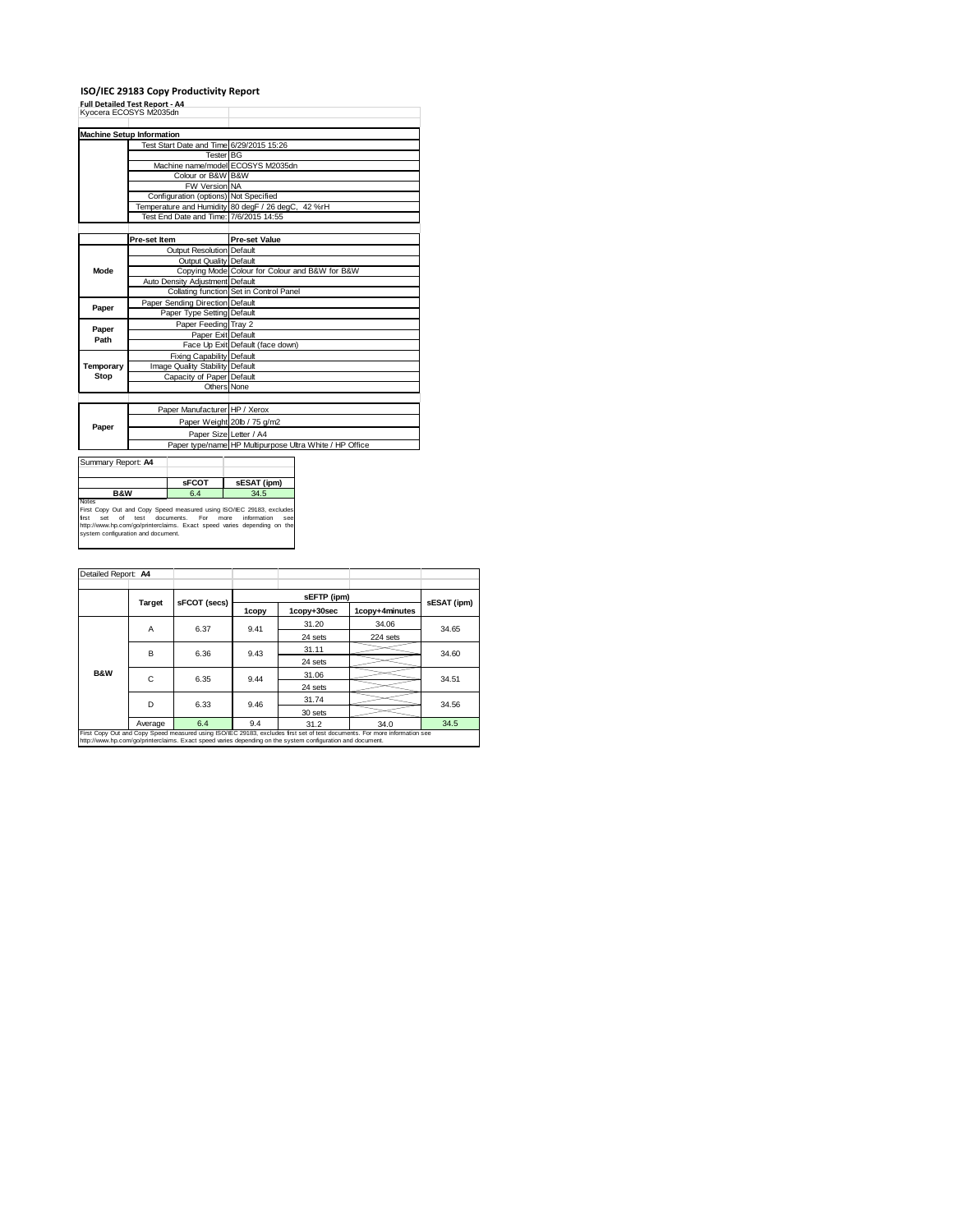#### **ISO/IEC 29183 Copy Productivity Report**

**Full Detailed Test Report ‐ A4** Kyocera ECOSYS M2035dn

| <b>Machine Setup Information</b> |                                 |                                       |                                                         |  |  |  |
|----------------------------------|---------------------------------|---------------------------------------|---------------------------------------------------------|--|--|--|
|                                  |                                 |                                       | Test Start Date and Time 6/29/2015 15:26                |  |  |  |
|                                  |                                 |                                       | Tester <sup>BG</sup>                                    |  |  |  |
|                                  |                                 |                                       | Machine name/model ECOSYS M2035dn                       |  |  |  |
|                                  |                                 | Colour or B&W B&W                     |                                                         |  |  |  |
|                                  |                                 | FW Version NA                         |                                                         |  |  |  |
|                                  |                                 | Configuration (options) Not Specified |                                                         |  |  |  |
|                                  |                                 |                                       | Temperature and Humidity 80 degF / 26 degC, 42 %rH      |  |  |  |
|                                  |                                 |                                       | Test End Date and Time: 7/6/2015 14:55                  |  |  |  |
|                                  |                                 |                                       |                                                         |  |  |  |
|                                  | Pre-set Item                    |                                       | <b>Pre-set Value</b>                                    |  |  |  |
|                                  |                                 | Output Resolution Default             |                                                         |  |  |  |
|                                  |                                 | Output Quality Default                |                                                         |  |  |  |
| Mode                             |                                 |                                       | Copying Mode Colour for Colour and B&W for B&W          |  |  |  |
|                                  |                                 | Auto Density Adjustment Default       |                                                         |  |  |  |
|                                  |                                 |                                       | Collating function Set in Control Panel                 |  |  |  |
|                                  |                                 | Paper Sending Direction Default       |                                                         |  |  |  |
| Paper                            |                                 | Paper Type Setting Default            |                                                         |  |  |  |
|                                  | Paper Feeding Tray 2            |                                       |                                                         |  |  |  |
| Paper<br>Path                    | Paper Exit Default              |                                       |                                                         |  |  |  |
|                                  |                                 |                                       | Face Up Exit Default (face down)                        |  |  |  |
|                                  | Fixing Capability Default       |                                       |                                                         |  |  |  |
| Temporary                        | Image Quality Stability Default |                                       |                                                         |  |  |  |
| Stop                             |                                 | Capacity of Paper Default             |                                                         |  |  |  |
|                                  |                                 |                                       | Others None                                             |  |  |  |
|                                  |                                 |                                       |                                                         |  |  |  |
|                                  |                                 | Paper Manufacturer HP / Xerox         |                                                         |  |  |  |
|                                  |                                 |                                       | Paper Weight 20lb / 75 g/m2                             |  |  |  |
| Paper                            |                                 |                                       | Paper Size Letter / A4                                  |  |  |  |
|                                  |                                 |                                       | Paper type/name HP Multipurpose Ultra White / HP Office |  |  |  |
|                                  |                                 |                                       |                                                         |  |  |  |
| Summary Report: A4               |                                 |                                       |                                                         |  |  |  |
|                                  |                                 |                                       |                                                         |  |  |  |
| $ -$                             |                                 | <b>sFCOT</b>                          | sESAT (ipm)                                             |  |  |  |

**B&W**<br>**Rist Copy Out and Copy Speed measured using ISO/IEC 29183, excludes<br>First Experiment Copy Speed measured using ISO/IEC 29183, excludes<br>first set of test documents. For more information see<br>system configuration and d** 

| Detailed Report: A4                                                                                                                                                                                                                      |         |              |                          |             |                |                         |  |
|------------------------------------------------------------------------------------------------------------------------------------------------------------------------------------------------------------------------------------------|---------|--------------|--------------------------|-------------|----------------|-------------------------|--|
|                                                                                                                                                                                                                                          |         |              | sEFTP (ipm)              | sESAT (ipm) |                |                         |  |
|                                                                                                                                                                                                                                          | Target  | sFCOT (secs) | 1copy                    | 1copy+30sec | 1copy+4minutes |                         |  |
|                                                                                                                                                                                                                                          | A       | 6.37         | 9.41                     | 31.20       | 34.06          | 34.65                   |  |
|                                                                                                                                                                                                                                          |         |              |                          | 24 sets     | 224 sets       |                         |  |
|                                                                                                                                                                                                                                          | В       | 6.36         | 31.11<br>9.43<br>24 sets |             |                |                         |  |
|                                                                                                                                                                                                                                          |         |              |                          |             |                |                         |  |
| <b>B&amp;W</b>                                                                                                                                                                                                                           | C       | 6.35         | 9.44                     | 31.06       |                | 34.60<br>34.51<br>34.56 |  |
|                                                                                                                                                                                                                                          |         |              |                          | 24 sets     |                |                         |  |
|                                                                                                                                                                                                                                          | D       | 6.33         | 9.46                     | 31.74       |                |                         |  |
|                                                                                                                                                                                                                                          |         |              |                          | 30 sets     |                |                         |  |
|                                                                                                                                                                                                                                          | Average | 6.4          | 9.4                      | 31.2        | 34.0           | 34.5                    |  |
| First Copy Out and Copy Speed measured using ISO/IEC 29183, excludes first set of test documents. For more information see<br>http://www.hp.com/go/printerclaims. Exact speed varies depending on the system configuration and document. |         |              |                          |             |                |                         |  |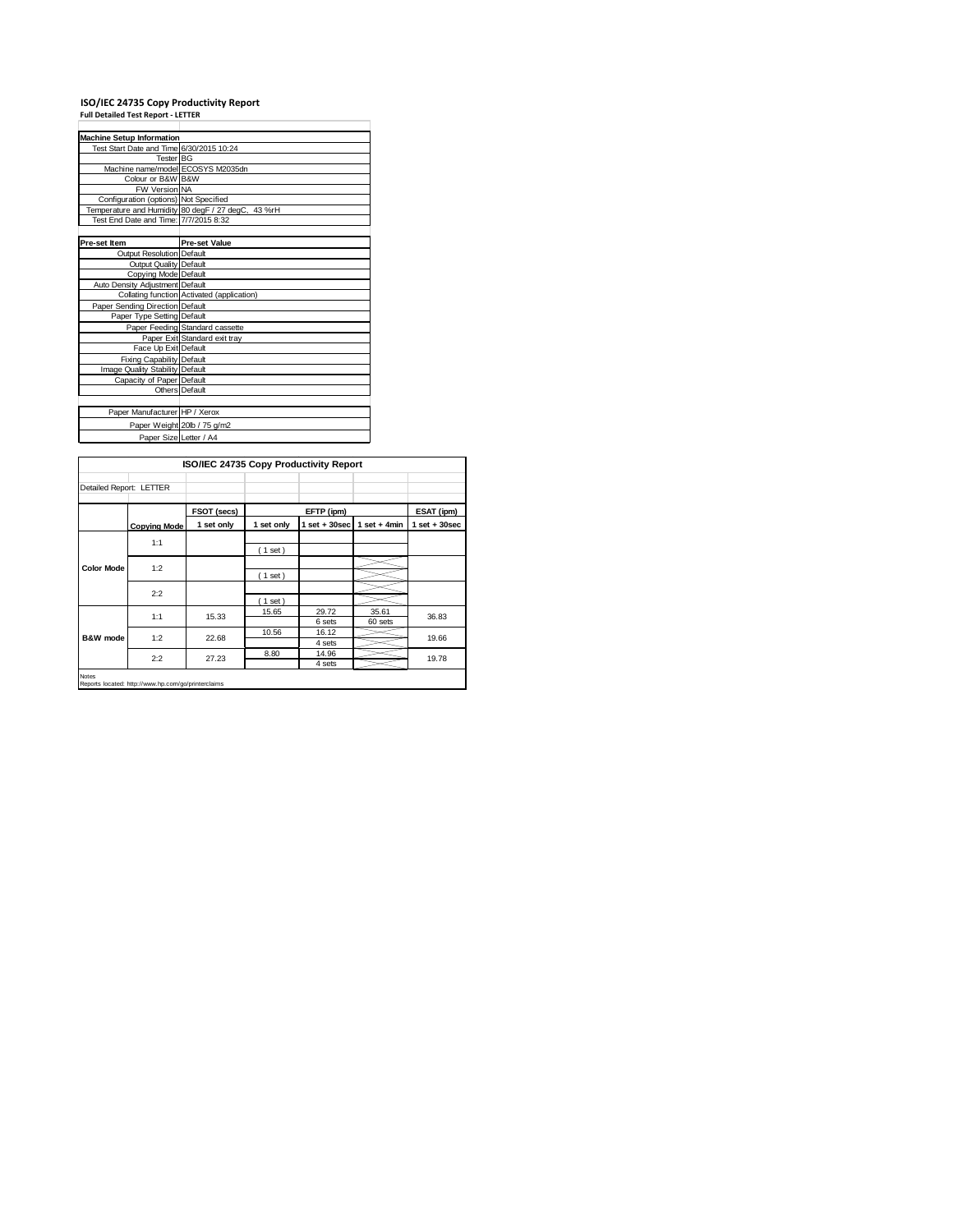# **ISO/IEC 24735 Copy Productivity Report Full Detailed Test Report ‐ LETTER**

| <b>Machine Setup Information</b>         |                                                    |  |  |  |  |  |
|------------------------------------------|----------------------------------------------------|--|--|--|--|--|
| Test Start Date and Time 6/30/2015 10:24 |                                                    |  |  |  |  |  |
| Tester BG                                |                                                    |  |  |  |  |  |
| Machine name/model ECOSYS M2035dn        |                                                    |  |  |  |  |  |
| Colour or B&W B&W                        |                                                    |  |  |  |  |  |
| <b>FW Version NA</b>                     |                                                    |  |  |  |  |  |
| Configuration (options) Not Specified    |                                                    |  |  |  |  |  |
|                                          | Temperature and Humidity 80 degF / 27 degC, 43 %rH |  |  |  |  |  |
| Test End Date and Time: 7/7/2015 8:32    |                                                    |  |  |  |  |  |
|                                          |                                                    |  |  |  |  |  |
| Pre-set Item                             | <b>Pre-set Value</b>                               |  |  |  |  |  |
| Output Resolution Default                |                                                    |  |  |  |  |  |
| Output Quality Default                   |                                                    |  |  |  |  |  |
| Copying Mode Default                     |                                                    |  |  |  |  |  |
| Auto Density Adjustment Default          |                                                    |  |  |  |  |  |
|                                          | Collating function Activated (application)         |  |  |  |  |  |
| Paper Sending Direction Default          |                                                    |  |  |  |  |  |
| Paper Type Setting Default               |                                                    |  |  |  |  |  |
|                                          | Paper Feeding Standard cassette                    |  |  |  |  |  |
|                                          | Paper Exit Standard exit tray                      |  |  |  |  |  |
| Face Up Exit Default                     |                                                    |  |  |  |  |  |
| <b>Fixing Capability Default</b>         |                                                    |  |  |  |  |  |
| Image Quality Stability Default          |                                                    |  |  |  |  |  |
| Capacity of Paper Default                |                                                    |  |  |  |  |  |
|                                          | Others Default                                     |  |  |  |  |  |
|                                          |                                                    |  |  |  |  |  |
| Paper Manufacturer HP / Xerox            |                                                    |  |  |  |  |  |
|                                          | Paper Weight 20lb / 75 g/m2                        |  |  |  |  |  |
| Paper Size Letter / A4                   |                                                    |  |  |  |  |  |

|                         |                                                     | ISO/IEC 24735 Copy Productivity Report |            |                 |                  |                   |
|-------------------------|-----------------------------------------------------|----------------------------------------|------------|-----------------|------------------|-------------------|
| Detailed Report: LETTER |                                                     |                                        |            |                 |                  |                   |
|                         |                                                     | FSOT (secs)                            |            | EFTP (ipm)      |                  | ESAT (ipm)        |
|                         | <b>Copying Mode</b>                                 | 1 set only                             | 1 set only | $1$ set + 30sec | $1$ set + 4min   | $1$ set $+30$ sec |
|                         | 1:1                                                 |                                        | (1 set)    |                 |                  |                   |
| <b>Color Mode</b>       | 1:2                                                 |                                        | (1 set)    |                 |                  |                   |
|                         | 2:2                                                 |                                        | (1 set)    |                 |                  |                   |
|                         | 1:1                                                 | 15.33                                  | 15.65      | 29.72<br>6 sets | 35.61<br>60 sets | 36.83             |
| B&W mode                | 1:2                                                 | 22.68                                  | 10.56      | 16.12<br>4 sets |                  | 19.66             |
|                         | 2:2                                                 | 27.23                                  | 8.80       | 14.96<br>4 sets |                  | 19.78             |
| <b>Notes</b>            | Reports located: http://www.hp.com/go/printerclaims |                                        |            |                 |                  |                   |